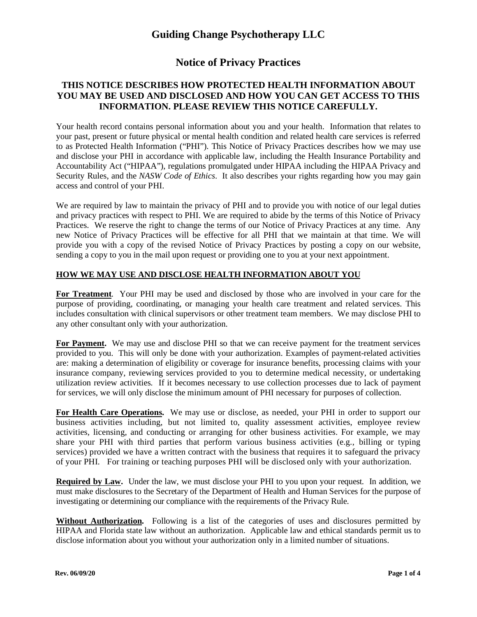### **Notice of Privacy Practices**

### **THIS NOTICE DESCRIBES HOW PROTECTED HEALTH INFORMATION ABOUT YOU MAY BE USED AND DISCLOSED AND HOW YOU CAN GET ACCESS TO THIS INFORMATION. PLEASE REVIEW THIS NOTICE CAREFULLY.**

Your health record contains personal information about you and your health. Information that relates to your past, present or future physical or mental health condition and related health care services is referred to as Protected Health Information ("PHI"). This Notice of Privacy Practices describes how we may use and disclose your PHI in accordance with applicable law, including the Health Insurance Portability and Accountability Act ("HIPAA"), regulations promulgated under HIPAA including the HIPAA Privacy and Security Rules, and the *NASW Code of Ethics*. It also describes your rights regarding how you may gain access and control of your PHI.

We are required by law to maintain the privacy of PHI and to provide you with notice of our legal duties and privacy practices with respect to PHI. We are required to abide by the terms of this Notice of Privacy Practices. We reserve the right to change the terms of our Notice of Privacy Practices at any time. Any new Notice of Privacy Practices will be effective for all PHI that we maintain at that time. We will provide you with a copy of the revised Notice of Privacy Practices by posting a copy on our website, sending a copy to you in the mail upon request or providing one to you at your next appointment.

#### **HOW WE MAY USE AND DISCLOSE HEALTH INFORMATION ABOUT YOU**

**For Treatment**. Your PHI may be used and disclosed by those who are involved in your care for the purpose of providing, coordinating, or managing your health care treatment and related services. This includes consultation with clinical supervisors or other treatment team members. We may disclose PHI to any other consultant only with your authorization.

**For Payment.** We may use and disclose PHI so that we can receive payment for the treatment services provided to you. This will only be done with your authorization. Examples of payment-related activities are: making a determination of eligibility or coverage for insurance benefits, processing claims with your insurance company, reviewing services provided to you to determine medical necessity, or undertaking utilization review activities. If it becomes necessary to use collection processes due to lack of payment for services, we will only disclose the minimum amount of PHI necessary for purposes of collection.

**For Health Care Operations.** We may use or disclose, as needed, your PHI in order to support our business activities including, but not limited to, quality assessment activities, employee review activities, licensing, and conducting or arranging for other business activities. For example, we may share your PHI with third parties that perform various business activities (e.g., billing or typing services) provided we have a written contract with the business that requires it to safeguard the privacy of your PHI. For training or teaching purposes PHI will be disclosed only with your authorization.

**Required by Law.** Under the law, we must disclose your PHI to you upon your request. In addition, we must make disclosures to the Secretary of the Department of Health and Human Services for the purpose of investigating or determining our compliance with the requirements of the Privacy Rule.

**Without Authorization.** Following is a list of the categories of uses and disclosures permitted by HIPAA and Florida state law without an authorization. Applicable law and ethical standards permit us to disclose information about you without your authorization only in a limited number of situations.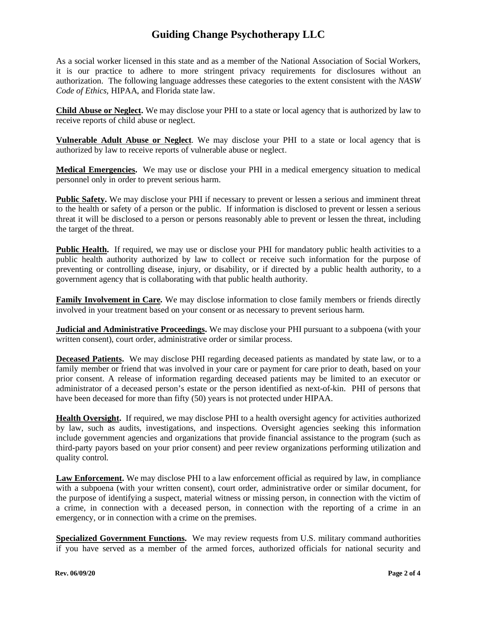As a social worker licensed in this state and as a member of the National Association of Social Workers, it is our practice to adhere to more stringent privacy requirements for disclosures without an authorization. The following language addresses these categories to the extent consistent with the *NASW Code of Ethics,* HIPAA, and Florida state law.

**Child Abuse or Neglect.** We may disclose your PHI to a state or local agency that is authorized by law to receive reports of child abuse or neglect.

**Vulnerable Adult Abuse or Neglect**. We may disclose your PHI to a state or local agency that is authorized by law to receive reports of vulnerable abuse or neglect.

**Medical Emergencies.** We may use or disclose your PHI in a medical emergency situation to medical personnel only in order to prevent serious harm.

**Public Safety.** We may disclose your PHI if necessary to prevent or lessen a serious and imminent threat to the health or safety of a person or the public. If information is disclosed to prevent or lessen a serious threat it will be disclosed to a person or persons reasonably able to prevent or lessen the threat, including the target of the threat.

**Public Health.** If required, we may use or disclose your PHI for mandatory public health activities to a public health authority authorized by law to collect or receive such information for the purpose of preventing or controlling disease, injury, or disability, or if directed by a public health authority, to a government agency that is collaborating with that public health authority.

**Family Involvement in Care.** We may disclose information to close family members or friends directly involved in your treatment based on your consent or as necessary to prevent serious harm.

**Judicial and Administrative Proceedings.** We may disclose your PHI pursuant to a subpoena (with your written consent), court order, administrative order or similar process.

**Deceased Patients.** We may disclose PHI regarding deceased patients as mandated by state law, or to a family member or friend that was involved in your care or payment for care prior to death, based on your prior consent. A release of information regarding deceased patients may be limited to an executor or administrator of a deceased person's estate or the person identified as next-of-kin. PHI of persons that have been deceased for more than fifty (50) years is not protected under HIPAA.

**Health Oversight.** If required, we may disclose PHI to a health oversight agency for activities authorized by law, such as audits, investigations, and inspections. Oversight agencies seeking this information include government agencies and organizations that provide financial assistance to the program (such as third-party payors based on your prior consent) and peer review organizations performing utilization and quality control.

**Law Enforcement.** We may disclose PHI to a law enforcement official as required by law, in compliance with a subpoena (with your written consent), court order, administrative order or similar document, for the purpose of identifying a suspect, material witness or missing person, in connection with the victim of a crime, in connection with a deceased person, in connection with the reporting of a crime in an emergency, or in connection with a crime on the premises.

**Specialized Government Functions.** We may review requests from U.S. military command authorities if you have served as a member of the armed forces, authorized officials for national security and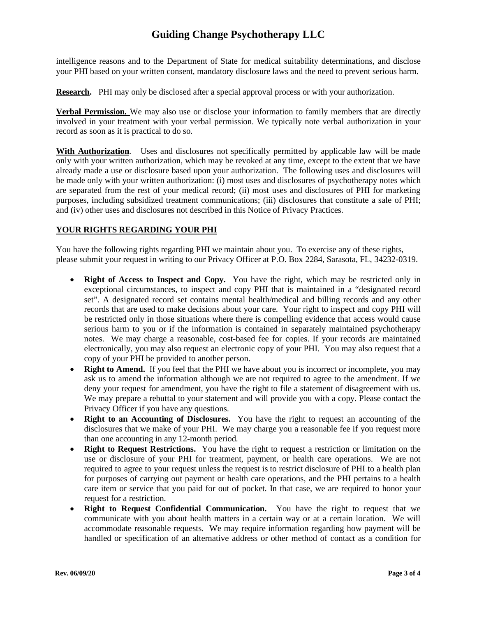intelligence reasons and to the Department of State for medical suitability determinations, and disclose your PHI based on your written consent, mandatory disclosure laws and the need to prevent serious harm.

**Research.** PHI may only be disclosed after a special approval process or with your authorization.

**Verbal Permission.** We may also use or disclose your information to family members that are directly involved in your treatment with your verbal permission. We typically note verbal authorization in your record as soon as it is practical to do so.

**With Authorization**. Uses and disclosures not specifically permitted by applicable law will be made only with your written authorization, which may be revoked at any time, except to the extent that we have already made a use or disclosure based upon your authorization. The following uses and disclosures will be made only with your written authorization: (i) most uses and disclosures of psychotherapy notes which are separated from the rest of your medical record; (ii) most uses and disclosures of PHI for marketing purposes, including subsidized treatment communications; (iii) disclosures that constitute a sale of PHI; and (iv) other uses and disclosures not described in this Notice of Privacy Practices.

### **YOUR RIGHTS REGARDING YOUR PHI**

You have the following rights regarding PHI we maintain about you. To exercise any of these rights, please submit your request in writing to our Privacy Officer at P.O. Box 2284, Sarasota, FL, 34232-0319.

- **Right of Access to Inspect and Copy.** You have the right, which may be restricted only in exceptional circumstances, to inspect and copy PHI that is maintained in a "designated record set". A designated record set contains mental health/medical and billing records and any other records that are used to make decisions about your care. Your right to inspect and copy PHI will be restricted only in those situations where there is compelling evidence that access would cause serious harm to you or if the information is contained in separately maintained psychotherapy notes. We may charge a reasonable, cost-based fee for copies. If your records are maintained electronically, you may also request an electronic copy of your PHI. You may also request that a copy of your PHI be provided to another person.
- **Right to Amend.** If you feel that the PHI we have about you is incorrect or incomplete, you may ask us to amend the information although we are not required to agree to the amendment. If we deny your request for amendment, you have the right to file a statement of disagreement with us. We may prepare a rebuttal to your statement and will provide you with a copy. Please contact the Privacy Officer if you have any questions.
- **Right to an Accounting of Disclosures.** You have the right to request an accounting of the disclosures that we make of your PHI. We may charge you a reasonable fee if you request more than one accounting in any 12-month period.
- **Right to Request Restrictions.** You have the right to request a restriction or limitation on the use or disclosure of your PHI for treatment, payment, or health care operations. We are not required to agree to your request unless the request is to restrict disclosure of PHI to a health plan for purposes of carrying out payment or health care operations, and the PHI pertains to a health care item or service that you paid for out of pocket. In that case, we are required to honor your request for a restriction.
- **Right to Request Confidential Communication.** You have the right to request that we communicate with you about health matters in a certain way or at a certain location. We will accommodate reasonable requests. We may require information regarding how payment will be handled or specification of an alternative address or other method of contact as a condition for